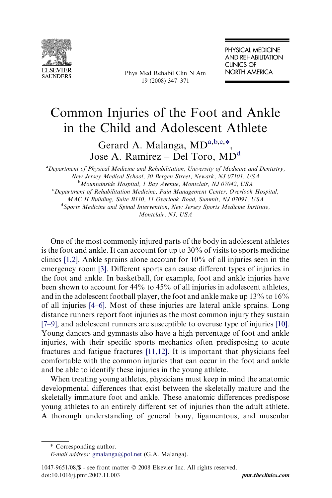

Phys Med Rehabil Clin N Am 19 (2008) 347–371

# Common Injuries of the Foot and Ankle in the Child and Adolescent Athlete

Gerard A. Malanga, MD<sup>a,b,c,\*</sup>, Jose A. Ramirez – Del Toro, MD<sup>d</sup>

<sup>a</sup> Department of Physical Medicine and Rehabilitation, University of Medicine and Dentistry, New Jersey Medical School, 30 Bergen Street, Newark, NJ 07101, USA <sup>b</sup>Mountainside Hospital, 1 Bay Avenue, Montclair, NJ 07042, USA <sup>c</sup>Department of Rehabilitation Medicine, Pain Management Center, Overlook Hospital, MAC II Building, Suite B110, 11 Overlook Road, Summit, NJ 07091, USA <sup>d</sup>Sports Medicine and Spinal Intervention, New Jersey Sports Medicine Institute, Montclair, NJ, USA

One of the most commonly injured parts of the body in adolescent athletes is the foot and ankle. It can account for up to 30% of visits to sports medicine clinics [\[1,2\]](#page-21-0). Ankle sprains alone account for 10% of all injuries seen in the emergency room [\[3\]](#page-21-0). Different sports can cause different types of injuries in the foot and ankle. In basketball, for example, foot and ankle injuries have been shown to account for 44% to 45% of all injuries in adolescent athletes, and in the adolescent football player, the foot and ankle make up 13% to 16% of all injuries [\[4–6\]](#page-21-0). Most of these injuries are lateral ankle sprains. Long distance runners report foot injuries as the most common injury they sustain [\[7–9\]](#page-21-0), and adolescent runners are susceptible to overuse type of injuries [\[10\].](#page-21-0) Young dancers and gymnasts also have a high percentage of foot and ankle injuries, with their specific sports mechanics often predisposing to acute fractures and fatigue fractures [\[11,12\].](#page-21-0) It is important that physicians feel comfortable with the common injuries that can occur in the foot and ankle and be able to identify these injuries in the young athlete.

When treating young athletes, physicians must keep in mind the anatomic developmental differences that exist between the skeletally mature and the skeletally immature foot and ankle. These anatomic differences predispose young athletes to an entirely different set of injuries than the adult athlete. A thorough understanding of general bony, ligamentous, and muscular

<sup>\*</sup> Corresponding author.

E-mail address: [gmalanga@pol.net](mailto:gmalanga@pol.net) (G.A. Malanga).

 $1047-9651/08$  - see front matter  $\odot$  2008 Elsevier Inc. All rights reserved. doi:10.1016/j.pmr.2007.11.003 [pmr.theclinics.com](http://www.pmr.theclinics.com)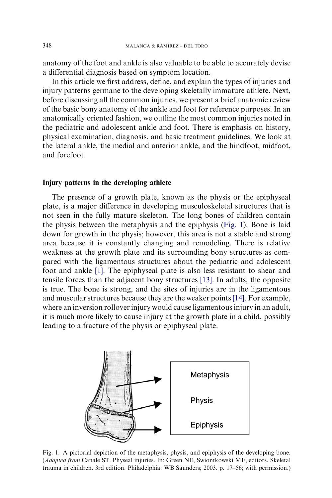anatomy of the foot and ankle is also valuable to be able to accurately devise a differential diagnosis based on symptom location.

In this article we first address, define, and explain the types of injuries and injury patterns germane to the developing skeletally immature athlete. Next, before discussing all the common injuries, we present a brief anatomic review of the basic bony anatomy of the ankle and foot for reference purposes. In an anatomically oriented fashion, we outline the most common injuries noted in the pediatric and adolescent ankle and foot. There is emphasis on history, physical examination, diagnosis, and basic treatment guidelines. We look at the lateral ankle, the medial and anterior ankle, and the hindfoot, midfoot, and forefoot.

### Injury patterns in the developing athlete

The presence of a growth plate, known as the physis or the epiphyseal plate, is a major difference in developing musculoskeletal structures that is not seen in the fully mature skeleton. The long bones of children contain the physis between the metaphysis and the epiphysis (Fig. 1). Bone is laid down for growth in the physis; however, this area is not a stable and strong area because it is constantly changing and remodeling. There is relative weakness at the growth plate and its surrounding bony structures as compared with the ligamentous structures about the pediatric and adolescent foot and ankle [\[1\].](#page-21-0) The epiphyseal plate is also less resistant to shear and tensile forces than the adjacent bony structures [\[13\].](#page-21-0) In adults, the opposite is true. The bone is strong, and the sites of injuries are in the ligamentous and muscular structures because they are the weaker points[\[14\]](#page-21-0). For example, where an inversion rollover injury would cause ligamentous injury in an adult, it is much more likely to cause injury at the growth plate in a child, possibly leading to a fracture of the physis or epiphyseal plate.



Fig. 1. A pictorial depiction of the metaphysis, physis, and epiphysis of the developing bone. (Adapted from Canale ST. Physeal injuries. In: Green NE, Swiontkowski MF, editors. Skeletal trauma in children. 3rd edition. Philadelphia: WB Saunders; 2003. p. 17–56; with permission.)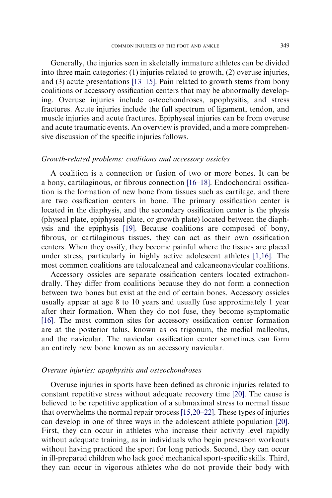Generally, the injuries seen in skeletally immature athletes can be divided into three main categories: (1) injuries related to growth, (2) overuse injuries, and (3) acute presentations [\[13–15\].](#page-21-0) Pain related to growth stems from bony coalitions or accessory ossification centers that may be abnormally developing. Overuse injuries include osteochondroses, apophysitis, and stress fractures. Acute injuries include the full spectrum of ligament, tendon, and muscle injuries and acute fractures. Epiphyseal injuries can be from overuse and acute traumatic events. An overview is provided, and a more comprehensive discussion of the specific injuries follows.

# Growth-related problems: coalitions and accessory ossicles

A coalition is a connection or fusion of two or more bones. It can be a bony, cartilaginous, or fibrous connection [\[16–18\]](#page-21-0). Endochondral ossification is the formation of new bone from tissues such as cartilage, and there are two ossification centers in bone. The primary ossification center is located in the diaphysis, and the secondary ossification center is the physis (physeal plate, epiphyseal plate, or growth plate) located between the diaphysis and the epiphysis [\[19\]](#page-21-0). Because coalitions are composed of bony, fibrous, or cartilaginous tissues, they can act as their own ossification centers. When they ossify, they become painful where the tissues are placed under stress, particularly in highly active adolescent athletes [\[1,16\]](#page-21-0). The most common coalitions are talocalcaneal and calcaneonavicular coalitions.

Accessory ossicles are separate ossification centers located extrachondrally. They differ from coalitions because they do not form a connection between two bones but exist at the end of certain bones. Accessory ossicles usually appear at age 8 to 10 years and usually fuse approximately 1 year after their formation. When they do not fuse, they become symptomatic [\[16\]](#page-21-0). The most common sites for accessory ossification center formation are at the posterior talus, known as os trigonum, the medial malleolus, and the navicular. The navicular ossification center sometimes can form an entirely new bone known as an accessory navicular.

#### Overuse injuries: apophysitis and osteochondroses

Overuse injuries in sports have been defined as chronic injuries related to constant repetitive stress without adequate recovery time [\[20\].](#page-21-0) The cause is believed to be repetitive application of a submaximal stress to normal tissue that overwhelms the normal repair process [\[15,20–22\]](#page-21-0). These types of injuries can develop in one of three ways in the adolescent athlete population [\[20\].](#page-21-0) First, they can occur in athletes who increase their activity level rapidly without adequate training, as in individuals who begin preseason workouts without having practiced the sport for long periods. Second, they can occur in ill-prepared children who lack good mechanical sport-specific skills. Third, they can occur in vigorous athletes who do not provide their body with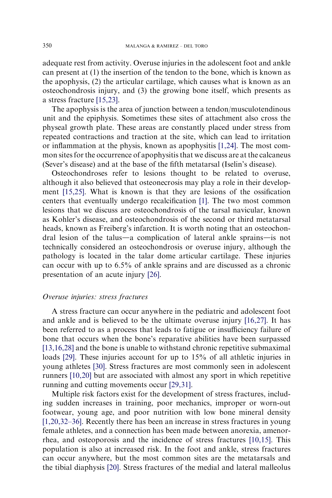adequate rest from activity. Overuse injuries in the adolescent foot and ankle can present at (1) the insertion of the tendon to the bone, which is known as the apophysis, (2) the articular cartilage, which causes what is known as an osteochondrosis injury, and (3) the growing bone itself, which presents as a stress fracture [\[15,23\]](#page-21-0).

The apophysis is the area of junction between a tendon/musculotendinous unit and the epiphysis. Sometimes these sites of attachment also cross the physeal growth plate. These areas are constantly placed under stress from repeated contractions and traction at the site, which can lead to irritation or inflammation at the physis, known as apophysitis [\[1,24\]](#page-21-0). The most common sites for the occurrence of apophysitis that we discuss are at the calcaneus (Sever's disease) and at the base of the fifth metatarsal (Iselin's disease).

Osteochondroses refer to lesions thought to be related to overuse, although it also believed that osteonecrosis may play a role in their development [\[15,25\].](#page-21-0) What is known is that they are lesions of the ossification centers that eventually undergo recalcification [\[1\].](#page-21-0) The two most common lesions that we discuss are osteochondrosis of the tarsal navicular, known as Kohler's disease, and osteochondrosis of the second or third metatarsal heads, known as Freiberg's infarction. It is worth noting that an osteochondral lesion of the talus-a complication of lateral ankle sprains- is not technically considered an osteochondrosis or overuse injury, although the pathology is located in the talar dome articular cartilage. These injuries can occur with up to 6.5% of ankle sprains and are discussed as a chronic presentation of an acute injury [\[26\]](#page-21-0).

## Overuse injuries: stress fractures

A stress fracture can occur anywhere in the pediatric and adolescent foot and ankle and is believed to be the ultimate overuse injury [\[16,27\]](#page-21-0). It has been referred to as a process that leads to fatigue or insufficiency failure of bone that occurs when the bone's reparative abilities have been surpassed [\[13,16,28\]](#page-21-0) and the bone is unable to withstand chronic repetitive submaximal loads [\[29\]](#page-22-0). These injuries account for up to 15% of all athletic injuries in young athletes [\[30\]](#page-22-0). Stress fractures are most commonly seen in adolescent runners [\[10,20\]](#page-21-0) but are associated with almost any sport in which repetitive running and cutting movements occur [\[29,31\]](#page-22-0).

Multiple risk factors exist for the development of stress fractures, including sudden increases in training, poor mechanics, improper or worn-out footwear, young age, and poor nutrition with low bone mineral density [\[1,20,32–36\]](#page-21-0). Recently there has been an increase in stress fractures in young female athletes, and a connection has been made between anorexia, amenorrhea, and osteoporosis and the incidence of stress fractures [\[10,15\]](#page-21-0). This population is also at increased risk. In the foot and ankle, stress fractures can occur anywhere, but the most common sites are the metatarsals and the tibial diaphysis [\[20\].](#page-21-0) Stress fractures of the medial and lateral malleolus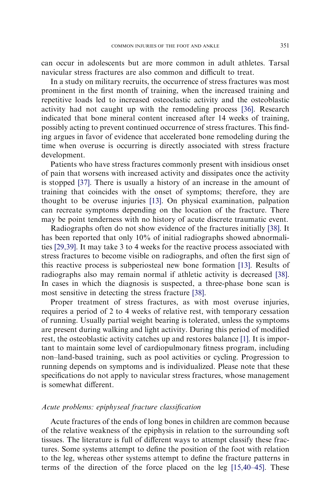can occur in adolescents but are more common in adult athletes. Tarsal navicular stress fractures are also common and difficult to treat.

In a study on military recruits, the occurrence of stress fractures was most prominent in the first month of training, when the increased training and repetitive loads led to increased osteoclastic activity and the osteoblastic activity had not caught up with the remodeling process [\[36\].](#page-22-0) Research indicated that bone mineral content increased after 14 weeks of training, possibly acting to prevent continued occurrence of stress fractures. This finding argues in favor of evidence that accelerated bone remodeling during the time when overuse is occurring is directly associated with stress fracture development.

Patients who have stress fractures commonly present with insidious onset of pain that worsens with increased activity and dissipates once the activity is stopped [\[37\].](#page-22-0) There is usually a history of an increase in the amount of training that coincides with the onset of symptoms; therefore, they are thought to be overuse injuries [\[13\].](#page-21-0) On physical examination, palpation can recreate symptoms depending on the location of the fracture. There may be point tenderness with no history of acute discrete traumatic event.

Radiographs often do not show evidence of the fractures initially [\[38\].](#page-22-0) It has been reported that only 10% of initial radiographs showed abnormalities [\[29,39\].](#page-22-0) It may take 3 to 4 weeks for the reactive process associated with stress fractures to become visible on radiographs, and often the first sign of this reactive process is subperiosteal new bone formation [\[13\]](#page-21-0). Results of radiographs also may remain normal if athletic activity is decreased [\[38\].](#page-22-0) In cases in which the diagnosis is suspected, a three-phase bone scan is most sensitive in detecting the stress fracture [\[38\].](#page-22-0)

Proper treatment of stress fractures, as with most overuse injuries, requires a period of 2 to 4 weeks of relative rest, with temporary cessation of running. Usually partial weight bearing is tolerated, unless the symptoms are present during walking and light activity. During this period of modified rest, the osteoblastic activity catches up and restores balance [\[1\]](#page-21-0). It is important to maintain some level of cardiopulmonary fitness program, including non–land-based training, such as pool activities or cycling. Progression to running depends on symptoms and is individualized. Please note that these specifications do not apply to navicular stress fractures, whose management is somewhat different.

# Acute problems: epiphyseal fracture classification

Acute fractures of the ends of long bones in children are common because of the relative weakness of the epiphysis in relation to the surrounding soft tissues. The literature is full of different ways to attempt classify these fractures. Some systems attempt to define the position of the foot with relation to the leg, whereas other systems attempt to define the fracture patterns in terms of the direction of the force placed on the leg [\[15,40–45\]](#page-21-0). These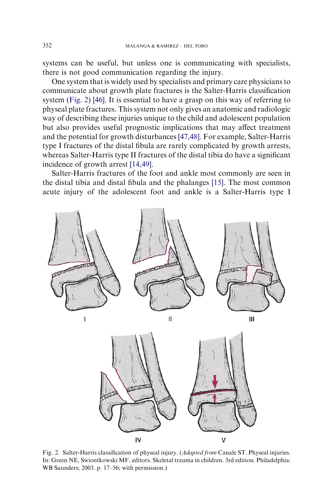systems can be useful, but unless one is communicating with specialists, there is not good communication regarding the injury.

One system that is widely used by specialists and primary care physicians to communicate about growth plate fractures is the Salter-Harris classification system (Fig. 2) [\[46\]](#page-22-0). It is essential to have a grasp on this way of referring to physeal plate fractures. This system not only gives an anatomic and radiologic way of describing these injuries unique to the child and adolescent population but also provides useful prognostic implications that may affect treatment and the potential for growth disturbances [\[47,48\].](#page-22-0) For example, Salter-Harris type I fractures of the distal fibula are rarely complicated by growth arrests, whereas Salter-Harris type II fractures of the distal tibia do have a significant incidence of growth arrest [\[14,49\]](#page-21-0).

Salter-Harris fractures of the foot and ankle most commonly are seen in the distal tibia and distal fibula and the phalanges [\[15\].](#page-21-0) The most common acute injury of the adolescent foot and ankle is a Salter-Harris type I



Fig. 2. Salter-Harris classification of physeal injury. (Adapted from Canale ST. Physeal injuries. In: Green NE, Swiontkowski MF, editors. Skeletal trauma in children. 3rd edition. Philadelphia: WB Saunders; 2003. p. 17–56; with permission.)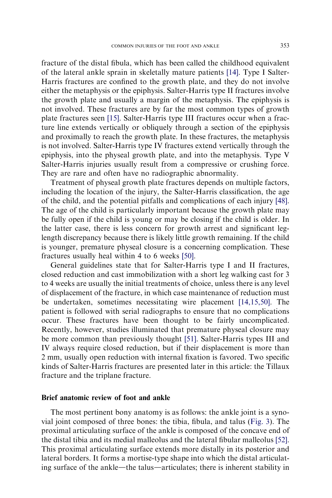fracture of the distal fibula, which has been called the childhood equivalent of the lateral ankle sprain in skeletally mature patients [\[14\]](#page-21-0). Type I Salter-Harris fractures are confined to the growth plate, and they do not involve either the metaphysis or the epiphysis. Salter-Harris type II fractures involve the growth plate and usually a margin of the metaphysis. The epiphysis is not involved. These fractures are by far the most common types of growth plate fractures seen [\[15\]](#page-21-0). Salter-Harris type III fractures occur when a fracture line extends vertically or obliquely through a section of the epiphysis and proximally to reach the growth plate. In these fractures, the metaphysis is not involved. Salter-Harris type IV fractures extend vertically through the epiphysis, into the physeal growth plate, and into the metaphysis. Type V Salter-Harris injuries usually result from a compressive or crushing force. They are rare and often have no radiographic abnormality.

Treatment of physeal growth plate fractures depends on multiple factors, including the location of the injury, the Salter-Harris classification, the age of the child, and the potential pitfalls and complications of each injury [\[48\].](#page-22-0) The age of the child is particularly important because the growth plate may be fully open if the child is young or may be closing if the child is older. In the latter case, there is less concern for growth arrest and significant leglength discrepancy because there is likely little growth remaining. If the child is younger, premature physeal closure is a concerning complication. These fractures usually heal within 4 to 6 weeks [\[50\]](#page-22-0).

General guidelines state that for Salter-Harris type I and II fractures, closed reduction and cast immobilization with a short leg walking cast for 3 to 4 weeks are usually the initial treatments of choice, unless there is any level of displacement of the fracture, in which case maintenance of reduction must be undertaken, sometimes necessitating wire placement [\[14,15,50\]](#page-21-0). The patient is followed with serial radiographs to ensure that no complications occur. These fractures have been thought to be fairly uncomplicated. Recently, however, studies illuminated that premature physeal closure may be more common than previously thought [\[51\]](#page-22-0). Salter-Harris types III and IV always require closed reduction, but if their displacement is more than 2 mm, usually open reduction with internal fixation is favored. Two specific kinds of Salter-Harris fractures are presented later in this article: the Tillaux fracture and the triplane fracture.

# Brief anatomic review of foot and ankle

The most pertinent bony anatomy is as follows: the ankle joint is a synovial joint composed of three bones: the tibia, fibula, and talus ([Fig. 3\)](#page-7-0). The proximal articulating surface of the ankle is composed of the concave end of the distal tibia and its medial malleolus and the lateral fibular malleolus [\[52\].](#page-22-0) This proximal articulating surface extends more distally in its posterior and lateral borders. It forms a mortise-type shape into which the distal articulating surface of the ankle—the talus—articulates; there is inherent stability in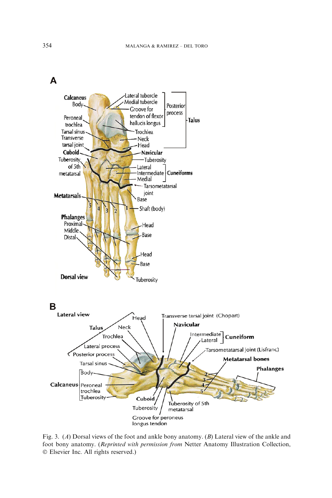<span id="page-7-0"></span>



Fig. 3. (A) Dorsal views of the foot and ankle bony anatomy. (B) Lateral view of the ankle and foot bony anatomy. (Reprinted with permission from Netter Anatomy Illustration Collection, - Elsevier Inc. All rights reserved.)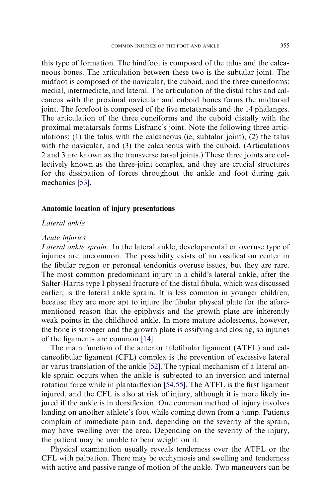this type of formation. The hindfoot is composed of the talus and the calcaneous bones. The articulation between these two is the subtalar joint. The midfoot is composed of the navicular, the cuboid, and the three cuneiforms: medial, intermediate, and lateral. The articulation of the distal talus and calcaneus with the proximal navicular and cuboid bones forms the midtarsal joint. The forefoot is composed of the five metatarsals and the 14 phalanges. The articulation of the three cuneiforms and the cuboid distally with the proximal metatarsals forms Lisfranc's joint. Note the following three articulations:  $(1)$  the talus with the calcaneous (ie, subtalar joint),  $(2)$  the talus with the navicular, and (3) the calcaneous with the cuboid. (Articulations 2 and 3 are known as the transverse tarsal joints.) These three joints are collectively known as the three-joint complex, and they are crucial structures for the dissipation of forces throughout the ankle and foot during gait mechanics [\[53\]](#page-22-0).

#### Anatomic location of injury presentations

## Lateral ankle

#### Acute injuries

Lateral ankle sprain. In the lateral ankle, developmental or overuse type of injuries are uncommon. The possibility exists of an ossification center in the fibular region or peroneal tendonitis overuse issues, but they are rare. The most common predominant injury in a child's lateral ankle, after the Salter-Harris type I physeal fracture of the distal fibula, which was discussed earlier, is the lateral ankle sprain. It is less common in younger children, because they are more apt to injure the fibular physeal plate for the aforementioned reason that the epiphysis and the growth plate are inherently weak points in the childhood ankle. In more mature adolescents, however, the bone is stronger and the growth plate is ossifying and closing, so injuries of the ligaments are common [\[14\]](#page-21-0).

The main function of the anterior talofibular ligament (ATFL) and calcaneofibular ligament (CFL) complex is the prevention of excessive lateral or varus translation of the ankle [\[52\].](#page-22-0) The typical mechanism of a lateral ankle sprain occurs when the ankle is subjected to an inversion and internal rotation force while in plantarflexion [\[54,55\]](#page-23-0). The ATFL is the first ligament injured, and the CFL is also at risk of injury, although it is more likely injured if the ankle is in dorsiflexion. One common method of injury involves landing on another athlete's foot while coming down from a jump. Patients complain of immediate pain and, depending on the severity of the sprain, may have swelling over the area. Depending on the severity of the injury, the patient may be unable to bear weight on it.

Physical examination usually reveals tenderness over the ATFL or the CFL with palpation. There may be ecchymosis and swelling and tenderness with active and passive range of motion of the ankle. Two maneuvers can be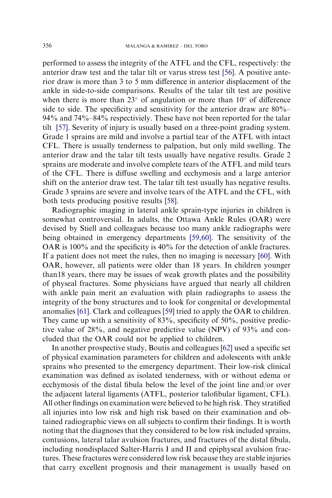performed to assess the integrity of the ATFL and the CFL, respectively: the anterior draw test and the talar tilt or varus stress test [\[56\].](#page-23-0) A positive anterior draw is more than 3 to 5 mm difference in anterior displacement of the ankle in side-to-side comparisons. Results of the talar tilt test are positive when there is more than  $23^{\circ}$  of angulation or more than  $10^{\circ}$  of difference side to side. The specificity and sensitivity for the anterior draw are 80%– 94% and 74%–84% respectiviely. These have not been reported for the talar tilt [\[57\]](#page-23-0). Severity of injury is usually based on a three-point grading system. Grade 1 sprains are mild and involve a partial tear of the ATFL with intact CFL. There is usually tenderness to palpation, but only mild swelling. The anterior draw and the talar tilt tests usually have negative results. Grade 2 sprains are moderate and involve complete tears of the ATFL and mild tears of the CFL. There is diffuse swelling and ecchymosis and a large anterior shift on the anterior draw test. The talar tilt test usually has negative results. Grade 3 sprains are severe and involve tears of the ATFL and the CFL, with both tests producing positive results [\[58\].](#page-23-0)

Radiographic imaging in lateral ankle sprain-type injuries in children is somewhat controversial. In adults, the Ottawa Ankle Rules (OAR) were devised by Stiell and colleagues because too many ankle radiographs were being obtained in emergency departments [\[59,60\].](#page-23-0) The sensitivity of the OAR is 100% and the specificity is 40% for the detection of ankle fractures. If a patient does not meet the rules, then no imaging is necessary [\[60\]](#page-23-0). With OAR, however, all patients were older than 18 years. In children younger than18 years, there may be issues of weak growth plates and the possibility of physeal fractures. Some physicians have argued that nearly all children with ankle pain merit an evaluation with plain radiographs to assess the integrity of the bony structures and to look for congenital or developmental anomalies [\[61\].](#page-23-0) Clark and colleagues [\[59\]](#page-23-0) tried to apply the OAR to children. They came up with a sensitivity of 83%, specificity of 50%, positive predictive value of 28%, and negative predictive value (NPV) of 93% and concluded that the OAR could not be applied to children.

In another prospective study, Boutis and colleagues [\[62\]](#page-23-0) used a specific set of physical examination parameters for children and adolescents with ankle sprains who presented to the emergency department. Their low-risk clinical examination was defined as isolated tenderness, with or without edema or ecchymosis of the distal fibula below the level of the joint line and/or over the adjacent lateral ligaments (ATFL, posterior talofibular ligament, CFL). All other findings on examination were believed to be high risk. They stratified all injuries into low risk and high risk based on their examination and obtained radiographic views on all subjects to confirm their findings. It is worth noting that the diagnoses that they considered to be low risk included sprains, contusions, lateral talar avulsion fractures, and fractures of the distal fibula, including nondisplaced Salter-Harris I and II and epiphyseal avulsion fractures. These fractures were considered low risk because they are stable injuries that carry excellent prognosis and their management is usually based on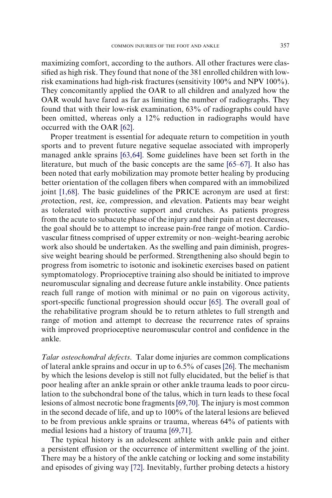maximizing comfort, according to the authors. All other fractures were classified as high risk. They found that none of the 381 enrolled children with lowrisk examinations had high-risk fractures (sensitivity 100% and NPV 100%). They concomitantly applied the OAR to all children and analyzed how the OAR would have fared as far as limiting the number of radiographs. They found that with their low-risk examination, 63% of radiographs could have been omitted, whereas only a 12% reduction in radiographs would have occurred with the OAR [\[62\]](#page-23-0).

Proper treatment is essential for adequate return to competition in youth sports and to prevent future negative sequelae associated with improperly managed ankle sprains [\[63,64\].](#page-23-0) Some guidelines have been set forth in the literature, but much of the basic concepts are the same [\[65–67\]](#page-23-0). It also has been noted that early mobilization may promote better healing by producing better orientation of the collagen fibers when compared with an immobilized joint [\[1,68\]](#page-21-0). The basic guidelines of the PRICE acronym are used at first: protection, rest, ice, compression, and elevation. Patients may bear weight as tolerated with protective support and crutches. As patients progress from the acute to subacute phase of the injury and their pain at rest decreases, the goal should be to attempt to increase pain-free range of motion. Cardiovascular fitness comprised of upper extremity or non–weight-bearing aerobic work also should be undertaken. As the swelling and pain diminish, progressive weight bearing should be performed. Strengthening also should begin to progress from isometric to isotonic and isokinetic exercises based on patient symptomatology. Proprioceptive training also should be initiated to improve neuromuscular signaling and decrease future ankle instability. Once patients reach full range of motion with minimal or no pain on vigorous activity, sport-specific functional progression should occur [\[65\]](#page-23-0). The overall goal of the rehabilitative program should be to return athletes to full strength and range of motion and attempt to decrease the recurrence rates of sprains with improved proprioceptive neuromuscular control and confidence in the ankle.

Talar osteochondral defects. Talar dome injuries are common complications of lateral ankle sprains and occur in up to 6.5% of cases [\[26\]](#page-21-0). The mechanism by which the lesions develop is still not fully elucidated, but the belief is that poor healing after an ankle sprain or other ankle trauma leads to poor circulation to the subchondral bone of the talus, which in turn leads to these focal lesions of almost necrotic bone fragments [\[69,70\]](#page-23-0). The injury is most common in the second decade of life, and up to 100% of the lateral lesions are believed to be from previous ankle sprains or trauma, whereas 64% of patients with medial lesions had a history of trauma [\[69,71\]](#page-23-0).

The typical history is an adolescent athlete with ankle pain and either a persistent effusion or the occurrence of intermittent swelling of the joint. There may be a history of the ankle catching or locking and some instability and episodes of giving way [\[72\].](#page-23-0) Inevitably, further probing detects a history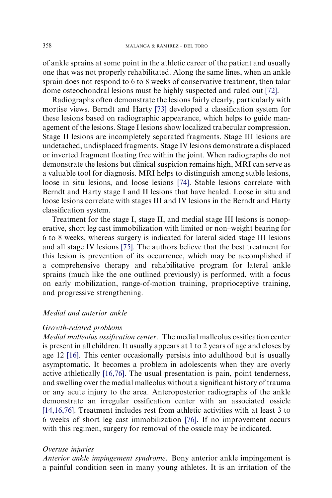of ankle sprains at some point in the athletic career of the patient and usually one that was not properly rehabilitated. Along the same lines, when an ankle sprain does not respond to 6 to 8 weeks of conservative treatment, then talar dome osteochondral lesions must be highly suspected and ruled out [\[72\]](#page-23-0).

Radiographs often demonstrate the lesions fairly clearly, particularly with mortise views. Berndt and Harty [\[73\]](#page-23-0) developed a classification system for these lesions based on radiographic appearance, which helps to guide management of the lesions. Stage I lesions show localized trabecular compression. Stage II lesions are incompletely separated fragments. Stage III lesions are undetached, undisplaced fragments. Stage IV lesions demonstrate a displaced or inverted fragment floating free within the joint. When radiographs do not demonstrate the lesions but clinical suspicion remains high, MRI can serve as a valuable tool for diagnosis. MRI helps to distinguish among stable lesions, loose in situ lesions, and loose lesions [\[74\]](#page-23-0). Stable lesions correlate with Berndt and Harty stage I and II lesions that have healed. Loose in situ and loose lesions correlate with stages III and IV lesions in the Berndt and Harty classification system.

Treatment for the stage I, stage II, and medial stage III lesions is nonoperative, short leg cast immobilization with limited or non–weight bearing for 6 to 8 weeks, whereas surgery is indicated for lateral sided stage III lesions and all stage IV lesions [\[75\].](#page-23-0) The authors believe that the best treatment for this lesion is prevention of its occurrence, which may be accomplished if a comprehensive therapy and rehabilitative program for lateral ankle sprains (much like the one outlined previously) is performed, with a focus on early mobilization, range-of-motion training, proprioceptive training, and progressive strengthening.

# Medial and anterior ankle

# Growth-related problems

Medial malleolus ossification center. The medial malleolus ossification center is present in all children. It usually appears at 1 to 2 years of age and closes by age 12 [\[16\]](#page-21-0). This center occasionally persists into adulthood but is usually asymptomatic. It becomes a problem in adolescents when they are overly active athletically [\[16,76\].](#page-21-0) The usual presentation is pain, point tenderness, and swelling over the medial malleolus without a significant history of trauma or any acute injury to the area. Anteroposterior radiographs of the ankle demonstrate an irregular ossification center with an associated ossicle [\[14,16,76\]](#page-21-0). Treatment includes rest from athletic activities with at least 3 to 6 weeks of short leg cast immobilization [\[76\].](#page-24-0) If no improvement occurs with this regimen, surgery for removal of the ossicle may be indicated.

#### Overuse injuries

Anterior ankle impingement syndrome. Bony anterior ankle impingement is a painful condition seen in many young athletes. It is an irritation of the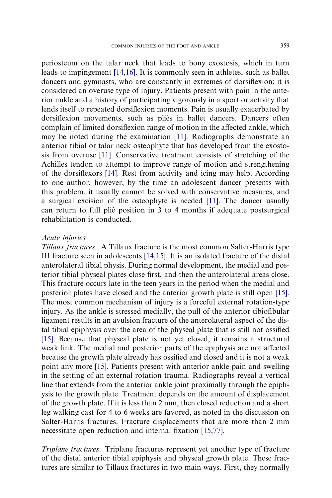periosteum on the talar neck that leads to bony exostosis, which in turn leads to impingement [\[14,16\]](#page-21-0). It is commonly seen in athletes, such as ballet dancers and gymnasts, who are constantly in extremes of dorsiflexion; it is considered an overuse type of injury. Patients present with pain in the anterior ankle and a history of participating vigorously in a sport or activity that lends itself to repeated dorsiflexion moments. Pain is usually exacerbated by dorsiflexion movements, such as pliés in ballet dancers. Dancers often complain of limited dorsiflexion range of motion in the affected ankle, which may be noted during the examination [\[11\]](#page-21-0). Radiographs demonstrate an anterior tibial or talar neck osteophyte that has developed from the exostosis from overuse [\[11\]](#page-21-0). Conservative treatment consists of stretching of the Achilles tendon to attempt to improve range of motion and strengthening of the dorsiflexors [\[14\]](#page-21-0). Rest from activity and icing may help. According to one author, however, by the time an adolescent dancer presents with this problem, it usually cannot be solved with conservative measures, and a surgical excision of the osteophyte is needed [\[11\]](#page-21-0). The dancer usually can return to full plié position in 3 to 4 months if adequate postsurgical rehabilitation is conducted.

# Acute injuries

Tillaux fractures. A Tillaux fracture is the most common Salter-Harris type III fracture seen in adolescents [\[14,15\].](#page-21-0) It is an isolated fracture of the distal anterolateral tibial physis. During normal development, the medial and posterior tibial physeal plates close first, and then the anterolateral areas close. This fracture occurs late in the teen years in the period when the medial and posterior plates have closed and the anterior growth plate is still open [\[15\].](#page-21-0) The most common mechanism of injury is a forceful external rotation-type injury. As the ankle is stressed medially, the pull of the anterior tibiofibular ligament results in an avulsion fracture of the anterolateral aspect of the distal tibial epiphysis over the area of the physeal plate that is still not ossified [\[15\]](#page-21-0). Because that physeal plate is not yet closed, it remains a structural weak link. The medial and posterior parts of the epiphysis are not affected because the growth plate already has ossified and closed and it is not a weak point any more [\[15\].](#page-21-0) Patients present with anterior ankle pain and swelling in the setting of an external rotation trauma. Radiographs reveal a vertical line that extends from the anterior ankle joint proximally through the epiphysis to the growth plate. Treatment depends on the amount of displacement of the growth plate. If it is less than 2 mm, then closed reduction and a short leg walking cast for 4 to 6 weeks are favored, as noted in the discussion on Salter-Harris fractures. Fracture displacements that are more than 2 mm necessitate open reduction and internal fixation [\[15,77\].](#page-21-0)

Triplane fractures. Triplane fractures represent yet another type of fracture of the distal anterior tibial epiphysis and physeal growth plate. These fractures are similar to Tillaux fractures in two main ways. First, they normally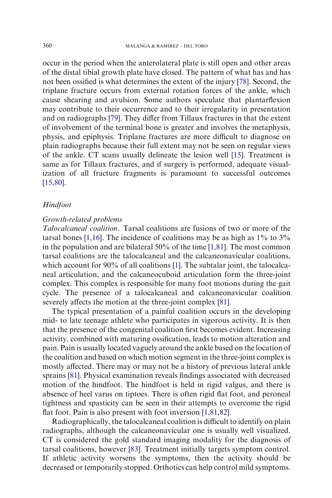occur in the period when the anterolateral plate is still open and other areas of the distal tibial growth plate have closed. The pattern of what has and has not been ossified is what determines the extent of the injury [\[78\].](#page-24-0) Second, the triplane fracture occurs from external rotation forces of the ankle, which cause shearing and avulsion. Some authors speculate that plantarflexion may contribute to their occurrence and to their irregularity in presentation and on radiographs [\[79\]](#page-24-0). They differ from Tillaux fractures in that the extent of involvement of the terminal bone is greater and involves the metaphysis, physis, and epiphysis. Triplane fractures are more difficult to diagnose on plain radiographs because their full extent may not be seen on regular views of the ankle. CT scans usually delineate the lesion well [\[15\].](#page-21-0) Treatment is same as for Tillaux fractures, and if surgery is performed, adequate visualization of all fracture fragments is paramount to successful outcomes [\[15,80\].](#page-21-0)

# Hindfoot

# Growth-related problems

Talocalcaneal coalition. Tarsal coalitions are fusions of two or more of the tarsal bones [\[1,16\].](#page-21-0) The incidence of coalitions may be as high as  $1\%$  to  $3\%$ in the population and are bilateral 50% of the time [\[1,81\]](#page-21-0). The most common tarsal coalitions are the talocalcaneal and the calcaneonavicular coalitions, which account for 90% of all coalitions [\[1\].](#page-21-0) The subtalar joint, the talocalcaneal articulation, and the calcaneocuboid articulation form the three-joint complex. This complex is responsible for many foot motions during the gait cycle. The presence of a talocalcaneal and calcaneonavicular coalition severely affects the motion at the three-joint complex [\[81\]](#page-24-0).

The typical presentation of a painful coalition occurs in the developing mid- to late teenage athlete who participates in vigorous activity. It is then that the presence of the congenital coalition first becomes evident. Increasing activity, combined with maturing ossification, leads to motion alteration and pain. Pain is usually located vaguely around the ankle based on the location of the coalition and based on which motion segment in the three-joint complex is mostly affected. There may or may not be a history of previous lateral ankle sprains [\[81\].](#page-24-0) Physical examination reveals findings associated with decreased motion of the hindfoot. The hindfoot is held in rigid valgus, and there is absence of heel varus on tiptoes. There is often rigid flat foot, and peroneal tightness and spasticity can be seen in their attempts to overcome the rigid flat foot. Pain is also present with foot inversion [\[1,81,82\].](#page-21-0)

Radiographically, the talocalcaneal coalition is difficult to identify on plain radiographs, although the calcaneonavicular one is usually well visualized. CT is considered the gold standard imaging modality for the diagnosis of tarsal coalitions, however [\[83\].](#page-24-0) Treatment initially targets symptom control. If athletic activity worsens the symptoms, then the activity should be decreased or temporarily stopped. Orthotics can help control mild symptoms.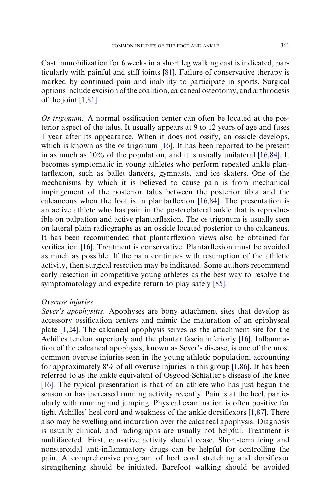Cast immobilization for 6 weeks in a short leg walking cast is indicated, particularly with painful and stiff joints [\[81\]](#page-24-0). Failure of conservative therapy is marked by continued pain and inability to participate in sports. Surgical options include excision of the coalition, calcaneal osteotomy, and arthrodesis of the joint [\[1,81\]](#page-21-0).

Os trigonum. A normal ossification center can often be located at the posterior aspect of the talus. It usually appears at 9 to 12 years of age and fuses 1 year after its appearance. When it does not ossify, an ossicle develops, which is known as the os trigonum [\[16\]](#page-21-0). It has been reported to be present in as much as 10% of the population, and it is usually unilateral [\[16,84\].](#page-21-0) It becomes symptomatic in young athletes who perform repeated ankle plantarflexion, such as ballet dancers, gymnasts, and ice skaters. One of the mechanisms by which it is believed to cause pain is from mechanical impingement of the posterior talus between the posterior tibia and the calcaneous when the foot is in plantarflexion [\[16,84\]](#page-21-0). The presentation is an active athlete who has pain in the posterolateral ankle that is reproducible on palpation and active plantarflexion. The os trigonum is usually seen on lateral plain radiographs as an ossicle located posterior to the calcaneus. It has been recommended that plantarflexion views also be obtained for verification [\[16\]](#page-21-0). Treatment is conservative. Plantarflexion must be avoided as much as possible. If the pain continues with resumption of the athletic activity, then surgical resection may be indicated. Some authors recommend early resection in competitive young athletes as the best way to resolve the symptomatology and expedite return to play safely [\[85\].](#page-24-0)

#### Overuse injuries

Sever's apophysitis. Apophyses are bony attachment sites that develop as accessory ossification centers and mimic the maturation of an epiphyseal plate [\[1,24\].](#page-21-0) The calcaneal apophysis serves as the attachment site for the Achilles tendon superiorly and the plantar fascia inferiorly [\[16\].](#page-21-0) Inflammation of the calcaneal apophysis, known as Sever's disease, is one of the most common overuse injuries seen in the young athletic population, accounting for approximately 8% of all overuse injuries in this group [\[1,86\].](#page-21-0) It has been referred to as the ankle equivalent of Osgood-Schlatter's disease of the knee [\[16\]](#page-21-0). The typical presentation is that of an athlete who has just begun the season or has increased running activity recently. Pain is at the heel, particularly with running and jumping. Physical examination is often positive for tight Achilles' heel cord and weakness of the ankle dorsiflexors [\[1,87\]](#page-21-0). There also may be swelling and induration over the calcaneal apophysis. Diagnosis is usually clinical, and radiographs are usually not helpful. Treatment is multifaceted. First, causative activity should cease. Short-term icing and nonsteroidal anti-inflammatory drugs can be helpful for controlling the pain. A comprehensive program of heel cord stretching and dorsiflexor strengthening should be initiated. Barefoot walking should be avoided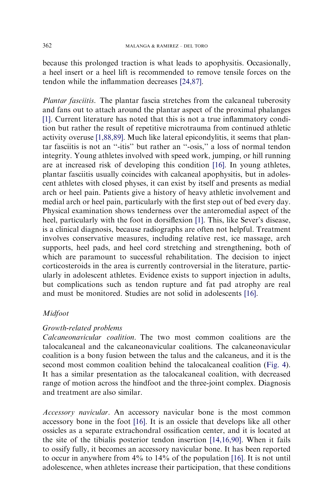because this prolonged traction is what leads to apophysitis. Occasionally, a heel insert or a heel lift is recommended to remove tensile forces on the tendon while the inflammation decreases [\[24,87\]](#page-21-0).

Plantar fasciitis. The plantar fascia stretches from the calcaneal tuberosity and fans out to attach around the plantar aspect of the proximal phalanges [\[1\].](#page-21-0) Current literature has noted that this is not a true inflammatory condition but rather the result of repetitive microtrauma from continued athletic activity overuse [\[1,88,89\]](#page-21-0). Much like lateral epicondylitis, it seems that plantar fasciitis is not an ''-itis'' but rather an ''-osis,'' a loss of normal tendon integrity. Young athletes involved with speed work, jumping, or hill running are at increased risk of developing this condition [\[16\]](#page-21-0). In young athletes, plantar fasciitis usually coincides with calcaneal apophysitis, but in adolescent athletes with closed physes, it can exist by itself and presents as medial arch or heel pain. Patients give a history of heavy athletic involvement and medial arch or heel pain, particularly with the first step out of bed every day. Physical examination shows tenderness over the anteromedial aspect of the heel, particularly with the foot in dorsiflexion [\[1\]](#page-21-0). This, like Sever's disease, is a clinical diagnosis, because radiographs are often not helpful. Treatment involves conservative measures, including relative rest, ice massage, arch supports, heel pads, and heel cord stretching and strengthening, both of which are paramount to successful rehabilitation. The decision to inject corticosteroids in the area is currently controversial in the literature, particularly in adolescent athletes. Evidence exists to support injection in adults, but complications such as tendon rupture and fat pad atrophy are real and must be monitored. Studies are not solid in adolescents [\[16\]](#page-21-0).

# Midfoot

# Growth-related problems

Calcaneonavicular coalition. The two most common coalitions are the talocalcaneal and the calcaneonavicular coalitions. The calcaneonavicular coalition is a bony fusion between the talus and the calcaneus, and it is the second most common coalition behind the talocalcaneal coalition ([Fig. 4](#page-16-0)). It has a similar presentation as the talocalcaneal coalition, with decreased range of motion across the hindfoot and the three-joint complex. Diagnosis and treatment are also similar.

Accessory navicular. An accessory navicular bone is the most common accessory bone in the foot [\[16\]](#page-21-0). It is an ossicle that develops like all other ossicles as a separate extrachondral ossification center, and it is located at the site of the tibialis posterior tendon insertion [\[14,16,90\].](#page-21-0) When it fails to ossify fully, it becomes an accessory navicular bone. It has been reported to occur in anywhere from 4% to 14% of the population [\[16\]](#page-21-0). It is not until adolescence, when athletes increase their participation, that these conditions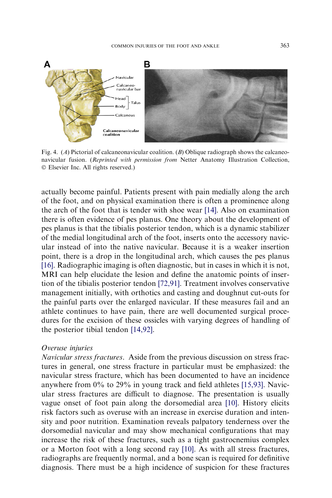<span id="page-16-0"></span>

Fig. 4. (A) Pictorial of calcaneonavicular coalition. (B) Oblique radiograph shows the calcaneonavicular fusion. (Reprinted with permission from Netter Anatomy Illustration Collection, - Elsevier Inc. All rights reserved.)

actually become painful. Patients present with pain medially along the arch of the foot, and on physical examination there is often a prominence along the arch of the foot that is tender with shoe wear [\[14\].](#page-21-0) Also on examination there is often evidence of pes planus. One theory about the development of pes planus is that the tibialis posterior tendon, which is a dynamic stabilizer of the medial longitudinal arch of the foot, inserts onto the accessory navicular instead of into the native navicular. Because it is a weaker insertion point, there is a drop in the longitudinal arch, which causes the pes planus [\[16\]](#page-21-0). Radiographic imaging is often diagnostic, but in cases in which it is not, MRI can help elucidate the lesion and define the anatomic points of insertion of the tibialis posterior tendon [\[72,91\].](#page-23-0) Treatment involves conservative management initially, with orthotics and casting and doughnut cut-outs for the painful parts over the enlarged navicular. If these measures fail and an athlete continues to have pain, there are well documented surgical procedures for the excision of these ossicles with varying degrees of handling of the posterior tibial tendon [\[14,92\]](#page-21-0).

#### Overuse injuries

Navicular stress fractures. Aside from the previous discussion on stress fractures in general, one stress fracture in particular must be emphasized: the navicular stress fracture, which has been documented to have an incidence anywhere from 0% to 29% in young track and field athletes [\[15,93\]](#page-21-0). Navicular stress fractures are difficult to diagnose. The presentation is usually vague onset of foot pain along the dorsomedial area [\[10\].](#page-21-0) History elicits risk factors such as overuse with an increase in exercise duration and intensity and poor nutrition. Examination reveals palpatory tenderness over the dorsomedial navicular and may show mechanical configurations that may increase the risk of these fractures, such as a tight gastrocnemius complex or a Morton foot with a long second ray [\[10\]](#page-21-0). As with all stress fractures, radiographs are frequently normal, and a bone scan is required for definitive diagnosis. There must be a high incidence of suspicion for these fractures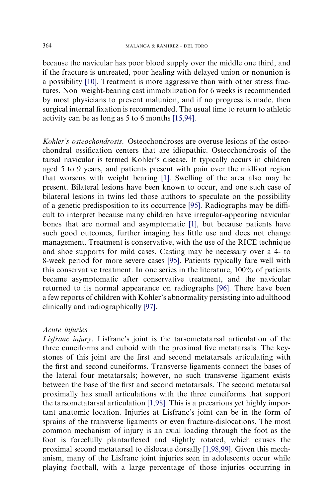because the navicular has poor blood supply over the middle one third, and if the fracture is untreated, poor healing with delayed union or nonunion is a possibility [\[10\].](#page-21-0) Treatment is more aggressive than with other stress fractures. Non–weight-bearing cast immobilization for 6 weeks is recommended by most physicians to prevent malunion, and if no progress is made, then surgical internal fixation is recommended. The usual time to return to athletic activity can be as long as 5 to 6 months [\[15,94\].](#page-21-0)

Kohler's osteochondrosis. Osteochondroses are overuse lesions of the osteochondral ossification centers that are idiopathic. Osteochondrosis of the tarsal navicular is termed Kohler's disease. It typically occurs in children aged 5 to 9 years, and patients present with pain over the midfoot region that worsens with weight bearing [\[1\]](#page-21-0). Swelling of the area also may be present. Bilateral lesions have been known to occur, and one such case of bilateral lesions in twins led those authors to speculate on the possibility of a genetic predisposition to its occurrence [\[95\].](#page-24-0) Radiographs may be difficult to interpret because many children have irregular-appearing navicular bones that are normal and asymptomatic [\[1\],](#page-21-0) but because patients have such good outcomes, further imaging has little use and does not change management. Treatment is conservative, with the use of the RICE technique and shoe supports for mild cases. Casting may be necessary over a 4- to 8-week period for more severe cases [\[95\]](#page-24-0). Patients typically fare well with this conservative treatment. In one series in the literature, 100% of patients became asymptomatic after conservative treatment, and the navicular returned to its normal appearance on radiographs [\[96\].](#page-24-0) There have been a few reports of children with Kohler's abnormality persisting into adulthood clinically and radiographically [\[97\]](#page-24-0).

# Acute injuries

Lisfranc injury. Lisfranc's joint is the tarsometatarsal articulation of the three cuneiforms and cuboid with the proximal five metatarsals. The keystones of this joint are the first and second metatarsals articulating with the first and second cuneiforms. Transverse ligaments connect the bases of the lateral four metatarsals; however, no such transverse ligament exists between the base of the first and second metatarsals. The second metatarsal proximally has small articulations with the three cuneiforms that support the tarsometatarsal articulation [\[1,98\].](#page-21-0) This is a precarious yet highly important anatomic location. Injuries at Lisfranc's joint can be in the form of sprains of the transverse ligaments or even fracture-dislocations. The most common mechanism of injury is an axial loading through the foot as the foot is forcefully plantarflexed and slightly rotated, which causes the proximal second metatarsal to dislocate dorsally [\[1,98,99\]](#page-21-0). Given this mechanism, many of the Lisfranc joint injuries seen in adolescents occur while playing football, with a large percentage of those injuries occurring in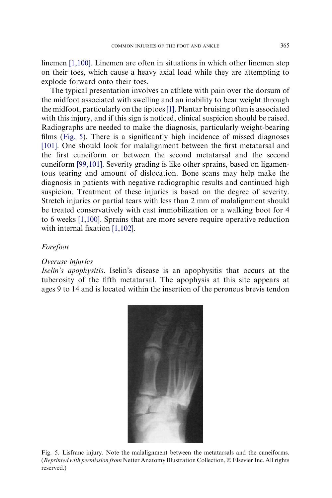linemen [\[1,100\].](#page-21-0) Linemen are often in situations in which other linemen step on their toes, which cause a heavy axial load while they are attempting to explode forward onto their toes.

The typical presentation involves an athlete with pain over the dorsum of the midfoot associated with swelling and an inability to bear weight through the midfoot, particularly on the tiptoes[\[1\]](#page-21-0). Plantar bruising often is associated with this injury, and if this sign is noticed, clinical suspicion should be raised. Radiographs are needed to make the diagnosis, particularly weight-bearing films (Fig. 5). There is a significantly high incidence of missed diagnoses [\[101\]](#page-24-0). One should look for malalignment between the first metatarsal and the first cuneiform or between the second metatarsal and the second cuneiform [\[99,101\]](#page-24-0). Severity grading is like other sprains, based on ligamentous tearing and amount of dislocation. Bone scans may help make the diagnosis in patients with negative radiographic results and continued high suspicion. Treatment of these injuries is based on the degree of severity. Stretch injuries or partial tears with less than 2 mm of malalignment should be treated conservatively with cast immobilization or a walking boot for 4 to 6 weeks [\[1,100\].](#page-21-0) Sprains that are more severe require operative reduction with internal fixation [\[1,102\].](#page-21-0)

#### Forefoot

#### Overuse injuries

Iselin's apophysitis. Iselin's disease is an apophysitis that occurs at the tuberosity of the fifth metatarsal. The apophysis at this site appears at ages 9 to 14 and is located within the insertion of the peroneus brevis tendon



Fig. 5. Lisfranc injury. Note the malalignment between the metatarsals and the cuneiforms. (Reprinted with permission from Netter Anatomy Illustration Collection, © Elsevier Inc. All rights reserved.)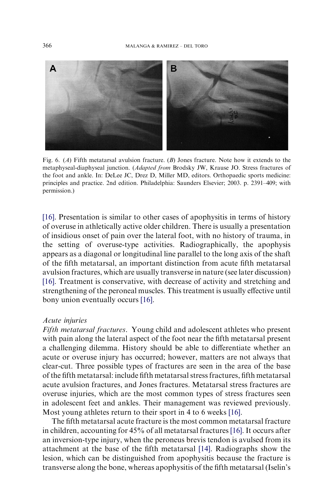<span id="page-19-0"></span>

Fig. 6. (A) Fifth metatarsal avulsion fracture. (B) Jones fracture. Note how it extends to the metaphyseal-diaphyseal junction. (Adapted from Brodsky JW, Krause JO. Stress fractures of the foot and ankle. In: DeLee JC, Drez D, Miller MD, editors. Orthopaedic sports medicine: principles and practice. 2nd edition. Philadelphia: Saunders Elsevier; 2003. p. 2391–409; with permission.)

[\[16\].](#page-21-0) Presentation is similar to other cases of apophysitis in terms of history of overuse in athletically active older children. There is usually a presentation of insidious onset of pain over the lateral foot, with no history of trauma, in the setting of overuse-type activities. Radiographically, the apophysis appears as a diagonal or longitudinal line parallel to the long axis of the shaft of the fifth metatarsal, an important distinction from acute fifth metatarsal avulsion fractures, which are usually transverse in nature (see later discussion) [\[16\].](#page-21-0) Treatment is conservative, with decrease of activity and stretching and strengthening of the peroneal muscles. This treatment is usually effective until bony union eventually occurs [\[16\]](#page-21-0).

# Acute injuries

Fifth metatarsal fractures. Young child and adolescent athletes who present with pain along the lateral aspect of the foot near the fifth metatarsal present a challenging dilemma. History should be able to differentiate whether an acute or overuse injury has occurred; however, matters are not always that clear-cut. Three possible types of fractures are seen in the area of the base of the fifth metatarsal: include fifth metatarsal stress fractures, fifth metatarsal acute avulsion fractures, and Jones fractures. Metatarsal stress fractures are overuse injuries, which are the most common types of stress fractures seen in adolescent feet and ankles. Their management was reviewed previously. Most young athletes return to their sport in 4 to 6 weeks [\[16\].](#page-21-0)

The fifth metatarsal acute fracture is the most common metatarsal fracture in children, accounting for 45% of all metatarsal fractures [\[16\].](#page-21-0) It occurs after an inversion-type injury, when the peroneus brevis tendon is avulsed from its attachment at the base of the fifth metatarsal [\[14\].](#page-21-0) Radiographs show the lesion, which can be distinguished from apophysitis because the fracture is transverse along the bone, whereas apophysitis of the fifth metatarsal (Iselin's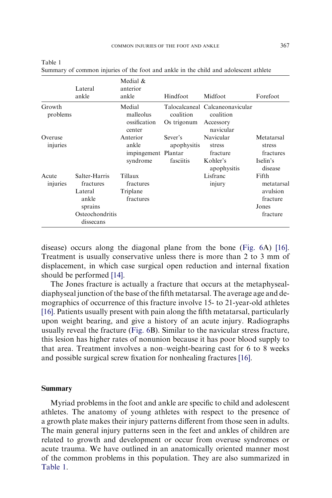|                     | Lateral<br>ankle                                                                          | Medial &<br>anterior<br>ankle                        | Hindfoot                            | Midfoot                                                    | Forefoot                                                         |
|---------------------|-------------------------------------------------------------------------------------------|------------------------------------------------------|-------------------------------------|------------------------------------------------------------|------------------------------------------------------------------|
| Growth<br>problems  |                                                                                           | Medial<br>malleolus<br>ossification<br>center        | coalition<br>Os trigonum Accessory  | Talocalcaneal Calcaneonavicular<br>coalition<br>navicular  |                                                                  |
| Overuse<br>injuries |                                                                                           | Anterior<br>ankle<br>impingement Plantar<br>syndrome | Sever's<br>apophysitis<br>fasciitis | Navicular<br>stress<br>fracture<br>Kohler's<br>apophysitis | Metatarsal<br>stress<br>fractures<br>Iselin's<br>disease         |
| Acute<br>injuries   | Salter-Harris<br>fractures<br>Lateral<br>ankle<br>sprains<br>Osteochondritis<br>dissecans | Tillaux<br>fractures<br>Triplane<br>fractures        |                                     | Lisfranc<br>injury                                         | Fifth<br>metatarsal<br>avulsion<br>fracture<br>Jones<br>fracture |

| . .<br>v<br>۰<br>× |  |
|--------------------|--|
|--------------------|--|

Summary of common injuries of the foot and ankle in the child and adolescent athlete

disease) occurs along the diagonal plane from the bone [\(Fig. 6](#page-19-0)A) [\[16\].](#page-21-0) Treatment is usually conservative unless there is more than 2 to 3 mm of displacement, in which case surgical open reduction and internal fixation should be performed [\[14\].](#page-21-0)

The Jones fracture is actually a fracture that occurs at the metaphysealdiaphyseal junction of the base of the fifth metatarsal. The average age and demographics of occurrence of this fracture involve 15- to 21-year-old athletes [\[16\]](#page-21-0). Patients usually present with pain along the fifth metatarsal, particularly upon weight bearing, and give a history of an acute injury. Radiographs usually reveal the fracture ([Fig. 6](#page-19-0)B). Similar to the navicular stress fracture, this lesion has higher rates of nonunion because it has poor blood supply to that area. Treatment involves a non–weight-bearing cast for 6 to 8 weeks and possible surgical screw fixation for nonhealing fractures [\[16\].](#page-21-0)

#### Summary

Myriad problems in the foot and ankle are specific to child and adolescent athletes. The anatomy of young athletes with respect to the presence of a growth plate makes their injury patterns different from those seen in adults. The main general injury patterns seen in the feet and ankles of children are related to growth and development or occur from overuse syndromes or acute trauma. We have outlined in an anatomically oriented manner most of the common problems in this population. They are also summarized in Table 1.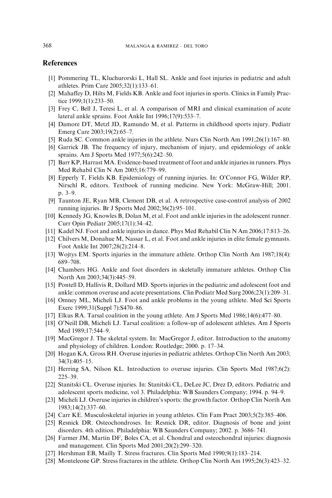#### <span id="page-21-0"></span>References

- [1] Pommering TL, Kluchurorski L, Hall SL. Ankle and foot injuries in pediatric and adult athletes. Prim Care 2005;32(1):133–61.
- [2] Mahaffey D, Hilts M, Fields KB. Ankle and foot injuries in sports. Clinics in Family Practice 1999;1(1):233–50.
- [3] Frey C, Bell J, Teresi L, et al. A comparison of MRI and clinical examination of acute lateral ankle sprains. Foot Ankle Int 1996;17(9):533–7.
- [4] Damore DT, Metzl JD, Ramundo M, et al. Patterns in childhood sports injury. Pediatr Emerg Care 2003;19(2):65–7.
- [5] Ruda SC. Common ankle injuries in the athlete. Nurs Clin North Am 1991;26(1):167–80.
- [6] Garrick JB. The frequency of injury, mechanism of injury, and epidemiology of ankle sprains. Am J Sports Med 1977;5(6):242–50.
- [7] Barr KP, Harrast MA. Evidence-based treatment of foot and ankle injuries in runners. Phys Med Rehabil Clin N Am 2005;16:779–99.
- [8] Epperly T, Fields KB. Epidemiology of running injuries. In: O'Connor FG, Wilder RP, Nirschl R, editors. Textbook of running medicine. New York: McGraw-Hill; 2001. p. 3–9.
- [9] Taunton JE, Ryan MB, Clement DB, et al. A retrospective case-control analysis of 2002 running injuries. Br J Sports Med 2002;36(2):95–101.
- [10] Kennedy JG, Knowles B, Dolan M, et al. Foot and ankle injuries in the adolescent runner. Curr Opin Pediatr 2005;17(1):34–42.
- [11] Kadel NJ. Foot and ankle injuries in dance. Phys Med Rehabil Clin N Am 2006;17:813–26.
- [12] Chilvers M, Donahue M, Nassar L, et al. Foot and ankle injuries in elite female gymnasts. Foot Ankle Int 2007;28(2):214–8.
- [13] Wojtys EM. Sports injuries in the immature athlete. Orthop Clin North Am 1987;18(4): 689–708.
- [14] Chambers HG. Ankle and foot disorders in skeletally immature athletes. Orthop Clin North Am 2003;34(3):445–59.
- [15] Pontell D, Hallivis R, Dollard MD. Sports injuries in the pediatric and adolescent foot and ankle: common overuse and acute presentations. Clin Podiatr Med Surg 2006;23(1):209–31.
- [16] Omney ML, Micheli LJ. Foot and ankle problems in the young athlete. Med Sci Sports Exerc 1999;31(Suppl 7):S470–86.
- [17] Elkus RA. Tarsal coalition in the young athlete. Am J Sports Med 1986;14(6):477–80.
- [18] O'Neill DB, Micheli LJ. Tarsal coalition: a follow-up of adolescent athletes. Am J Sports Med 1989;17:544–9.
- [19] MacGregor J. The skeletal system. In: MacGregor J, editor. Introduction to the anatomy and physiology of children. London: Routledge; 2000. p. 17–34.
- [20] Hogan KA, Gross RH. Overuse injuries in pediatric athletes. Orthop Clin North Am 2003; 34(3):405–15.
- [21] Herring SA, Nilson KL. Introduction to overuse injuries. Clin Sports Med 1987;6(2): 225–39.
- [22] Stanitski CL. Overuse injuries. In: Stanitski CL, DeLee JC, Drez D, editors. Pediatric and adolescent sports medicine, vol 3. Philadelphia: WB Saunders Company; 1994. p. 94–9.
- [23] Micheli LJ. Overuse injuries in children's sports: the growth factor. Orthop Clin North Am 1983;14(2):337–60.
- [24] Carr KE. Musculoskeletal injuries in young athletes. Clin Fam Pract 2003;5(2):385–406.
- [25] Resnick DR. Osteochondroses. In: Resnick DR, editor. Diagnosis of bone and joint disorders. 4th edition. Philadelphia: WB Saunders Company; 2002. p. 3686–741.
- [26] Farmer JM, Martin DF, Boles CA, et al. Chondral and osteochondral injuries: diagnosis and management. Clin Sports Med 2001;20(2):299–320.
- [27] Hershman EB, Mailly T. Stress fractures. Clin Sports Med 1990;9(1):183–214.
- [28] Monteleone GP. Stress fractures in the athlete. Orthop Clin North Am 1995;26(3):423–32.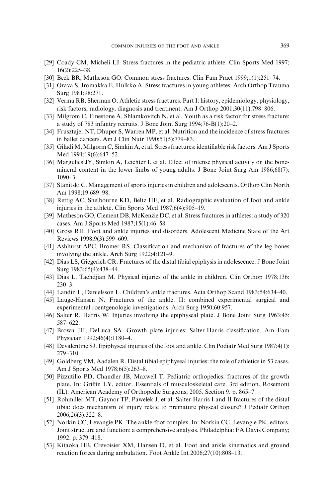- <span id="page-22-0"></span>[29] Coady CM, Micheli LJ. Stress fractures in the pediatric athlete. Clin Sports Med 1997; 16(2):225–38.
- [30] Beck BR, Matheson GO. Common stress fractures. Clin Fam Pract 1999;1(1):251–74.
- [31] Orava S, Jromakka E, Hulkko A. Stress fractures in young athletes. Arch Orthop Trauma Surg 1981;98:271.
- [32] Verma RB, Sherman O. Athletic stress fractures. Part I: history, epidemiology, physiology, risk factors, radiology, diagnosis and treatment. Am J Orthop 2001;30(11):798–806.
- [33] Milgrom C, Finestone A, Shlamkovitch N, et al. Youth as a risk factor for stress fracture: a study of 783 infantry recruits. J Bone Joint Surg 1994;76-B(1):20–2.
- [34] Frusztajer NT, Dhuper S, Warren MP, et al. Nutrition and the incidence of stress fractures in ballet dancers. Am J Clin Nutr 1990;51(5):779–83.
- [35] Giladi M, Milgorm C, Simkin A, et al. Stress fractures: identifiable risk factors. Am J Sports Med 1991;19(6):647–52.
- [36] Margulies JY, Simkin A, Leichter I, et al. Effect of intense physical activity on the bonemineral content in the lower limbs of young adults. J Bone Joint Surg Am 1986;68(7): 1090–3.
- [37] Stanitski C. Management of sports injuries in children and adolescents. Orthop Clin North Am 1998;19:689–98.
- [38] Rettig AC, Shelbourne KD, Beltz HF, et al. Radiographic evaluation of foot and ankle injuries in the athlete. Clin Sports Med 1987;6(4):905–19.
- [39] Matheson GO, Clement DB, McKenzie DC, et al. Stress fractures in athletes: a study of 320 cases. Am J Sports Med 1987;15(1):46–58.
- [40] Gross RH. Foot and ankle injuries and disorders. Adolescent Medicine State of the Art Reviews 1998;9(3):599–609.
- [41] Ashhurst APC, Bromer RS. Classification and mechanism of fractures of the leg bones involving the ankle. Arch Surg 1922;4:121–9.
- [42] Dias LS, Giegerich CR. Fractures of the distal tibial epiphysis in adolescence. J Bone Joint Surg 1983;65(4):438–44.
- [43] Dias L, Tachdjian M. Physical injuries of the ankle in children. Clin Orthop 1978;136: 230–3.
- [44] Landin L, Danielsson L. Children's ankle fractures. Acta Orthop Scand 1983;54:634–40.
- [45] Lauge-Hansen N. Fractures of the ankle. II: combined experimental surgical and experimental roentgenologic investigations. Arch Surg 1950;60:957.
- [46] Salter R, Harris W. Injuries involving the epiphyseal plate. J Bone Joint Surg 1963;45: 587–622.
- [47] Brown JH, DeLuca SA. Growth plate injuries: Salter-Harris classification. Am Fam Physician 1992;46(4):1180–4.
- [48] Devalentine SJ. Epiphyseal injuries of the foot and ankle. Clin Podiatr Med Surg 1987;4(1): 279–310.
- [49] Goldberg VM, Aadalen R. Distal tibial epiphyseal injuries: the role of athletics in 53 cases. Am J Sports Med 1978;6(5):263–8.
- [50] Pizzutillo PD, Chandler JB, Maxwell T. Pediatric orthopedics: fractures of the growth plate. In: Griffin LY, editor. Essentials of musculoskeletal care. 3rd edition. Rosemont (IL): American Academy of Orthopedic Surgeons; 2005. Section 9. p. 865–7.
- [51] Rohmiller MT, Gaynor TP, Pawelek J, et al. Salter-Harris I and II fractures of the distal tibia: does mechanism of injury relate to premature physeal closure? J Pediatr Orthop 2006;26(3):322–8.
- [52] Norkin CC, Levangie PK. The ankle-foot complex. In: Norkin CC, Levangie PK, editors. Joint structure and function: a comprehensive analysis. Philadelphia: FA Davis Company; 1992. p. 379–418.
- [53] Kitaoka HB, Crevoisier XM, Hansen D, et al. Foot and ankle kinematics and ground reaction forces during ambulation. Foot Ankle Int 2006;27(10):808–13.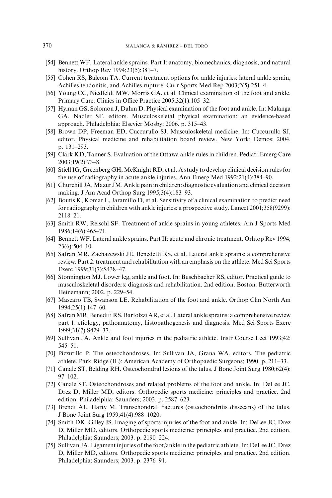- <span id="page-23-0"></span>[54] Bennett WF. Lateral ankle sprains. Part I: anatomy, biomechanics, diagnosis, and natural history. Orthop Rev 1994;23(5):381–7.
- [55] Cohen RS, Balcom TA. Current treatment options for ankle injuries: lateral ankle sprain, Achilles tendonitis, and Achilles rupture. Curr Sports Med Rep 2003;2(5):251–4.
- [56] Young CC, Niedfeldt MW, Morris GA, et al. Clinical examination of the foot and ankle. Primary Care: Clinics in Office Practice 2005;32(1):105–32.
- [57] Hyman GS, Solomon J, Dahm D. Physical examination of the foot and ankle. In: Malanga GA, Nadler SF, editors. Musculoskeletal physical examination: an evidence-based approach. Philadelphia: Elsevier Mosby; 2006. p. 315–43.
- [58] Brown DP, Freeman ED, Cuccurullo SJ. Musculoskeletal medicine. In: Cuccurullo SJ, editor. Physical medicine and rehabilitation board review. New York: Demos; 2004. p. 131–293.
- [59] Clark KD, Tanner S. Evaluation of the Ottawa ankle rules in children. Pediatr Emerg Care 2003;19(2):73–8.
- [60] Stiell IG, Greenberg GH, McKnight RD, et al. A study to develop clinical decision rules for the use of radiography in acute ankle injuries. Ann Emerg Med 1992;21(4):384–90.
- [61] Churchill JA, Mazur JM. Ankle pain in children: diagnostic evaluation and clinical decision making. J Am Acad Orthop Surg 1995;3(4):183–93.
- [62] Boutis K, Komar L, Jaramillo D, et al. Sensitivity of a clinical examination to predict need for radiography in children with ankle injuries: a prospective study. Lancet 2001;358(9299): 2118–21.
- [63] Smith RW, Reischl SF. Treatment of ankle sprains in young athletes. Am J Sports Med 1986;14(6):465–71.
- [64] Bennett WF. Lateral ankle sprains. Part II: acute and chronic treatment. Orhtop Rev 1994; 23(6):504–10.
- [65] Safran MR, Zachazewski JE, Benedetti RS, et al. Lateral ankle sprains: a comprehensive review. Part 2: treatment and rehabilitation with an emphasis on the athlete. Med Sci Sports Exerc 1999;31(7):S438–47.
- [66] Stonnington MJ. Lower leg, ankle and foot. In: Buschbacher RS, editor. Practical guide to musculoskeletal disorders: diagnosis and rehabilitation. 2nd edition. Boston: Butterworth Heinemann; 2002. p. 229–54.
- [67] Mascaro TB, Swanson LE. Rehabilitation of the foot and ankle. Orthop Clin North Am 1994;25(1):147–60.
- [68] Safran MR, Benedtti RS, Bartolzzi AR, et al. Lateral ankle sprains: a comprehensive review part 1: etiology, pathoanatomy, histopathogenesis and diagnosis. Med Sci Sports Exerc 1999;31(7):S429–37.
- [69] Sullivan JA. Ankle and foot injuries in the pediatric athlete. Instr Course Lect 1993;42: 545–51.
- [70] Pizzutillo P. The osteochondroses. In: Sullivan JA, Grana WA, editors. The pediatric athlete. Park Ridge (IL): American Academy of Orthopaedic Surgeons; 1990. p. 211–33.
- [71] Canale ST, Belding RH. Osteochondral lesions of the talus. J Bone Joint Surg 1980;62(4): 97–102.
- [72] Canale ST. Osteochondroses and related problems of the foot and ankle. In: DeLee JC, Drez D, Miller MD, editors. Orthopedic sports medicine: principles and practice. 2nd edition. Philadelphia: Saunders; 2003. p. 2587–623.
- [73] Brendt AL, Harty M. Transchondral fractures (osteochondritis dissecans) of the talus. J Bone Joint Surg 1959;41(4):988–1020.
- [74] Smith DK, Gilley JS. Imaging of sports injuries of the foot and ankle. In: DeLee JC, Drez D, Miller MD, editors. Orthopedic sports medicine: principles and practice. 2nd edition. Philadelphia: Saunders; 2003. p. 2190–224.
- [75] Sullivan JA. Ligament injuries of the foot/ankle in the pediatric athlete. In: DeLee JC, Drez D, Miller MD, editors. Orthopedic sports medicine: principles and practice. 2nd edition. Philadelphia: Saunders; 2003. p. 2376–91.